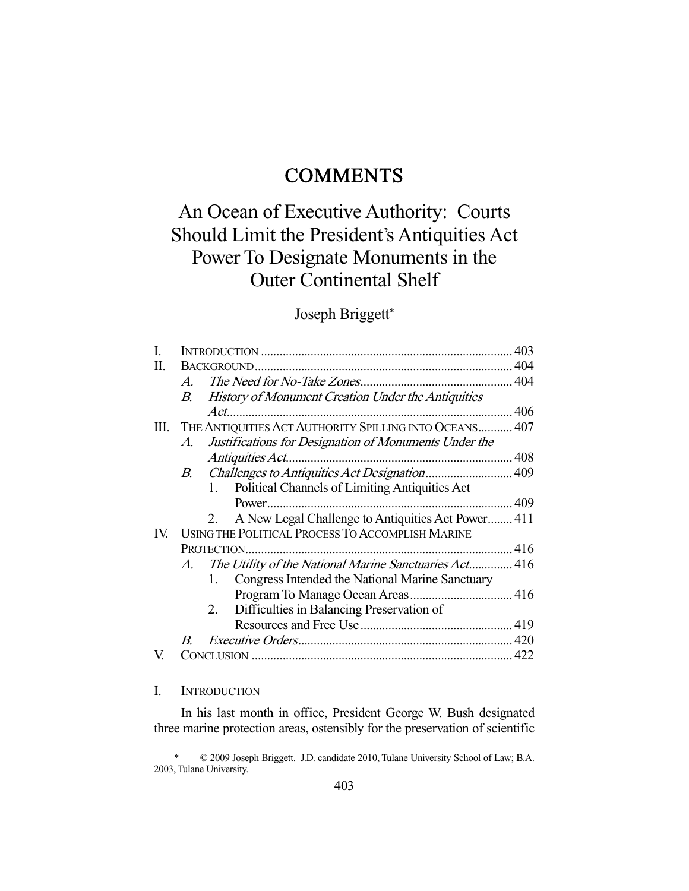## **COMMENTS**

# An Ocean of Executive Authority: Courts Should Limit the President's Antiquities Act Power To Designate Monuments in the Outer Continental Shelf

### Joseph Briggett\*

| I.  |                                                  |                                                           | 403 |
|-----|--------------------------------------------------|-----------------------------------------------------------|-----|
| П.  |                                                  |                                                           |     |
|     | $A_{\cdot}$                                      |                                                           |     |
|     | $B_{-}$                                          | <b>History of Monument Creation Under the Antiquities</b> |     |
|     |                                                  |                                                           |     |
| Ш.  |                                                  | THE ANTIQUITIES ACT AUTHORITY SPILLING INTO OCEANS 407    |     |
|     | A.                                               | Justifications for Designation of Monuments Under the     |     |
|     |                                                  |                                                           |     |
|     |                                                  |                                                           |     |
|     |                                                  | Political Channels of Limiting Antiquities Act<br>1.      |     |
|     |                                                  |                                                           |     |
|     |                                                  | A New Legal Challenge to Antiquities Act Power 411<br>2.  |     |
| IV. | USING THE POLITICAL PROCESS TO ACCOMPLISH MARINE |                                                           |     |
|     |                                                  |                                                           |     |
|     | $A_{\cdot}$                                      | The Utility of the National Marine Sanctuaries Act 416    |     |
|     |                                                  | Congress Intended the National Marine Sanctuary<br>1.     |     |
|     |                                                  |                                                           |     |
|     |                                                  | Difficulties in Balancing Preservation of<br>2.           |     |
|     |                                                  |                                                           |     |
|     | B.                                               |                                                           |     |
| V.  |                                                  |                                                           |     |
|     |                                                  |                                                           |     |

#### I. INTRODUCTION

-

 In his last month in office, President George W. Bush designated three marine protection areas, ostensibly for the preservation of scientific

 <sup>\* © 2009</sup> Joseph Briggett. J.D. candidate 2010, Tulane University School of Law; B.A. 2003, Tulane University.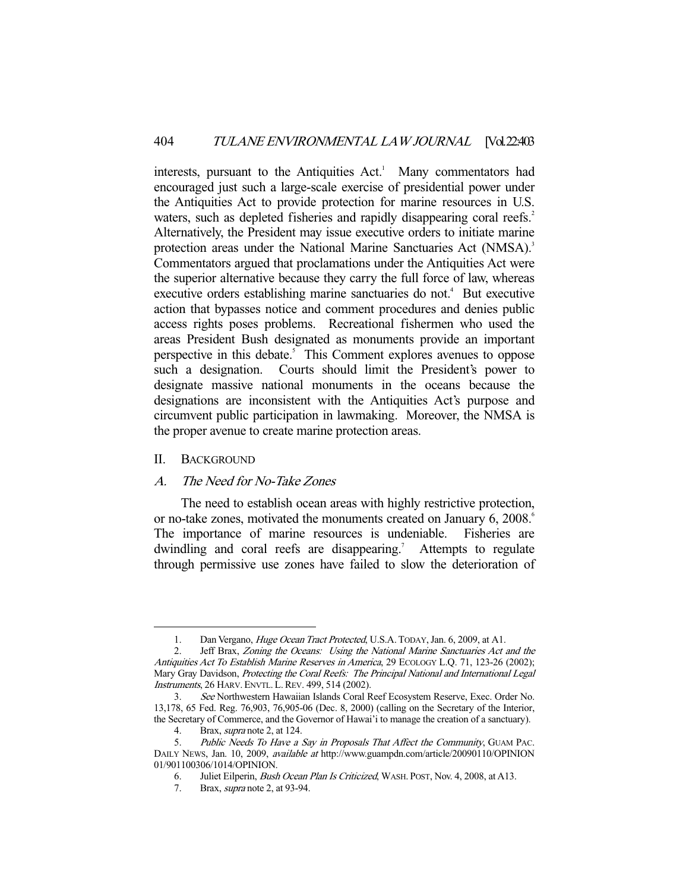interests, pursuant to the Antiquities Act.<sup>1</sup> Many commentators had encouraged just such a large-scale exercise of presidential power under the Antiquities Act to provide protection for marine resources in U.S. waters, such as depleted fisheries and rapidly disappearing coral reefs.<sup>2</sup> Alternatively, the President may issue executive orders to initiate marine protection areas under the National Marine Sanctuaries Act (NMSA).<sup>3</sup> Commentators argued that proclamations under the Antiquities Act were the superior alternative because they carry the full force of law, whereas executive orders establishing marine sanctuaries do not.<sup>4</sup> But executive action that bypasses notice and comment procedures and denies public access rights poses problems. Recreational fishermen who used the areas President Bush designated as monuments provide an important perspective in this debate.<sup>5</sup> This Comment explores avenues to oppose such a designation. Courts should limit the President's power to designate massive national monuments in the oceans because the designations are inconsistent with the Antiquities Act's purpose and circumvent public participation in lawmaking. Moreover, the NMSA is the proper avenue to create marine protection areas.

#### II. BACKGROUND

-

#### A. The Need for No-Take Zones

 The need to establish ocean areas with highly restrictive protection, or no-take zones, motivated the monuments created on January 6, 2008.<sup>6</sup> The importance of marine resources is undeniable. Fisheries are dwindling and coral reefs are disappearing.<sup>7</sup> Attempts to regulate through permissive use zones have failed to slow the deterioration of

<sup>1.</sup> Dan Vergano, *Huge Ocean Tract Protected*, U.S.A. TODAY, Jan. 6, 2009, at A1.

 <sup>2.</sup> Jeff Brax, Zoning the Oceans: Using the National Marine Sanctuaries Act and the Antiquities Act To Establish Marine Reserves in America, 29 ECOLOGY L.Q. 71, 123-26 (2002); Mary Gray Davidson, Protecting the Coral Reefs: The Principal National and International Legal Instruments, 26 HARV. ENVTL. L. REV. 499, 514 (2002).

 <sup>3.</sup> See Northwestern Hawaiian Islands Coral Reef Ecosystem Reserve, Exec. Order No. 13,178, 65 Fed. Reg. 76,903, 76,905-06 (Dec. 8, 2000) (calling on the Secretary of the Interior, the Secretary of Commerce, and the Governor of Hawai'i to manage the creation of a sanctuary).

<sup>4.</sup> Brax, *supra* note 2, at 124.

<sup>5.</sup> Public Needs To Have a Say in Proposals That Affect the Community, GUAM PAC. DAILY NEWS, Jan. 10, 2009, available at http://www.guampdn.com/article/20090110/OPINION 01/901100306/1014/OPINION.

 <sup>6.</sup> Juliet Eilperin, Bush Ocean Plan Is Criticized, WASH. POST, Nov. 4, 2008, at A13.

 <sup>7.</sup> Brax, supra note 2, at 93-94.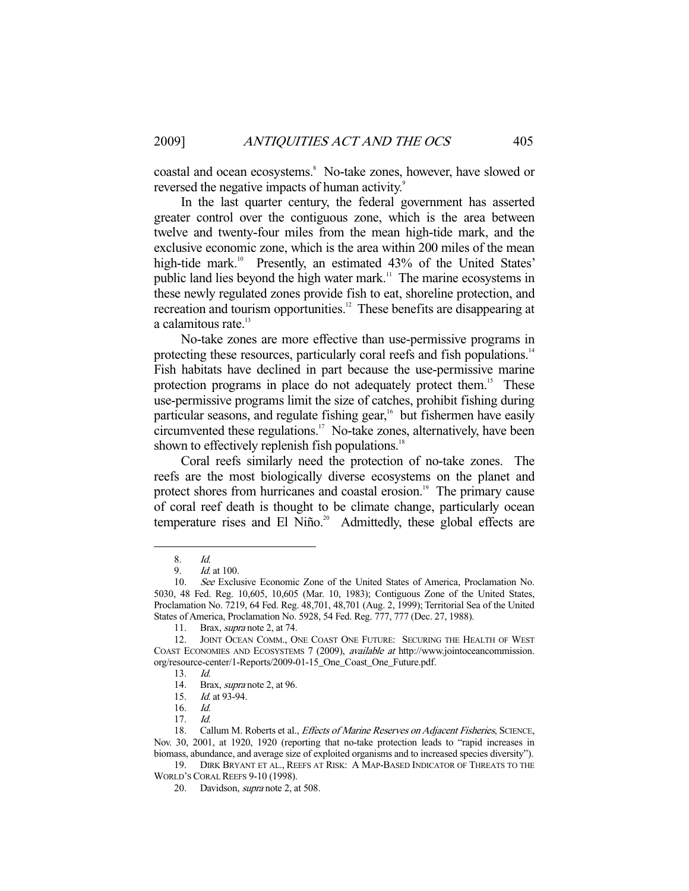coastal and ocean ecosystems.<sup>8</sup> No-take zones, however, have slowed or reversed the negative impacts of human activity.<sup>9</sup>

 In the last quarter century, the federal government has asserted greater control over the contiguous zone, which is the area between twelve and twenty-four miles from the mean high-tide mark, and the exclusive economic zone, which is the area within 200 miles of the mean high-tide mark.<sup>10</sup> Presently, an estimated 43% of the United States' public land lies beyond the high water mark.<sup>11</sup> The marine ecosystems in these newly regulated zones provide fish to eat, shoreline protection, and recreation and tourism opportunities.<sup>12</sup> These benefits are disappearing at a calamitous rate.<sup>13</sup>

 No-take zones are more effective than use-permissive programs in protecting these resources, particularly coral reefs and fish populations.<sup>14</sup> Fish habitats have declined in part because the use-permissive marine protection programs in place do not adequately protect them.<sup>15</sup> These use-permissive programs limit the size of catches, prohibit fishing during particular seasons, and regulate fishing gear, $16$  but fishermen have easily circumvented these regulations.<sup>17</sup> No-take zones, alternatively, have been shown to effectively replenish fish populations.<sup>18</sup>

 Coral reefs similarly need the protection of no-take zones. The reefs are the most biologically diverse ecosystems on the planet and protect shores from hurricanes and coastal erosion.<sup>19</sup> The primary cause of coral reef death is thought to be climate change, particularly ocean temperature rises and El Niño.<sup>20</sup> Admittedly, these global effects are

 <sup>8.</sup> Id.

 <sup>9.</sup> Id. at 100.

 <sup>10.</sup> See Exclusive Economic Zone of the United States of America, Proclamation No. 5030, 48 Fed. Reg. 10,605, 10,605 (Mar. 10, 1983); Contiguous Zone of the United States, Proclamation No. 7219, 64 Fed. Reg. 48,701, 48,701 (Aug. 2, 1999); Territorial Sea of the United States of America, Proclamation No. 5928, 54 Fed. Reg. 777, 777 (Dec. 27, 1988).

 <sup>11.</sup> Brax, supra note 2, at 74.

<sup>12.</sup> JOINT OCEAN COMM., ONE COAST ONE FUTURE: SECURING THE HEALTH OF WEST COAST ECONOMIES AND ECOSYSTEMS 7 (2009), available at http://www.jointoceancommission. org/resource-center/1-Reports/2009-01-15\_One\_Coast\_One\_Future.pdf.

 <sup>13.</sup> Id.

 <sup>14.</sup> Brax, supra note 2, at 96.

<sup>15.</sup> *Id.* at 93-94.

 <sup>16.</sup> Id.

 <sup>17.</sup> Id.

<sup>18.</sup> Callum M. Roberts et al., *Effects of Marine Reserves on Adjacent Fisheries*, SCIENCE, Nov. 30, 2001, at 1920, 1920 (reporting that no-take protection leads to "rapid increases in biomass, abundance, and average size of exploited organisms and to increased species diversity").

 <sup>19.</sup> DIRK BRYANT ET AL., REEFS AT RISK: A MAP-BASED INDICATOR OF THREATS TO THE WORLD'S CORAL REEFS 9-10 (1998).

 <sup>20.</sup> Davidson, supra note 2, at 508.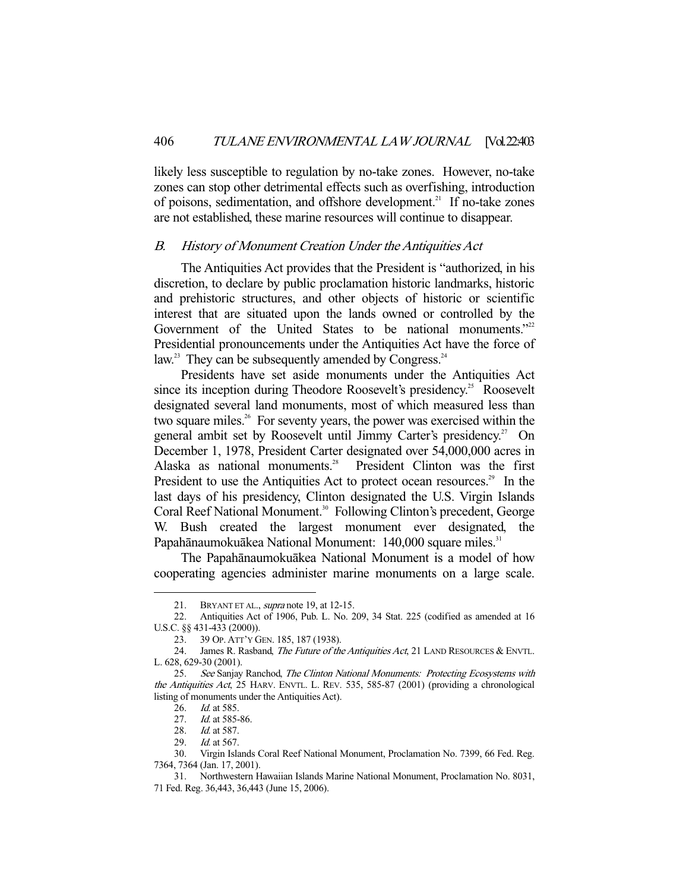likely less susceptible to regulation by no-take zones. However, no-take zones can stop other detrimental effects such as overfishing, introduction of poisons, sedimentation, and offshore development.<sup>21</sup> If no-take zones are not established, these marine resources will continue to disappear.

#### B. History of Monument Creation Under the Antiquities Act

 The Antiquities Act provides that the President is "authorized, in his discretion, to declare by public proclamation historic landmarks, historic and prehistoric structures, and other objects of historic or scientific interest that are situated upon the lands owned or controlled by the Government of the United States to be national monuments."<sup>22</sup> Presidential pronouncements under the Antiquities Act have the force of law.<sup>23</sup> They can be subsequently amended by Congress.<sup>24</sup>

 Presidents have set aside monuments under the Antiquities Act since its inception during Theodore Roosevelt's presidency.<sup>25</sup> Roosevelt designated several land monuments, most of which measured less than two square miles.<sup>26</sup> For seventy years, the power was exercised within the general ambit set by Roosevelt until Jimmy Carter's presidency.<sup>27</sup> On December 1, 1978, President Carter designated over 54,000,000 acres in Alaska as national monuments.<sup>28</sup> President Clinton was the first President to use the Antiquities Act to protect ocean resources.<sup>29</sup> In the last days of his presidency, Clinton designated the U.S. Virgin Islands Coral Reef National Monument.<sup>30</sup> Following Clinton's precedent, George W. Bush created the largest monument ever designated, the Papahānaumokuākea National Monument: 140,000 square miles.<sup>31</sup>

 The Papahānaumokuākea National Monument is a model of how cooperating agencies administer marine monuments on a large scale.

<sup>21.</sup> BRYANT ET AL., supra note 19, at 12-15.

 <sup>22.</sup> Antiquities Act of 1906, Pub. L. No. 209, 34 Stat. 225 (codified as amended at 16 U.S.C. §§ 431-433 (2000)).

 <sup>23. 39</sup> OP. ATT'Y GEN. 185, 187 (1938).

<sup>24.</sup> James R. Rasband, The Future of the Antiquities Act, 21 LAND RESOURCES & ENVTL. L. 628, 629-30 (2001).

<sup>25.</sup> See Sanjay Ranchod, The Clinton National Monuments: Protecting Ecosystems with the Antiquities Act, 25 HARV. ENVTL. L. REV. 535, 585-87 (2001) (providing a chronological listing of monuments under the Antiquities Act).

<sup>26.</sup> *Id.* at 585.

<sup>27.</sup> *Id.* at 585-86.

<sup>28.</sup> *Id.* at 587.

<sup>29.</sup> *Id.* at 567.

 <sup>30.</sup> Virgin Islands Coral Reef National Monument, Proclamation No. 7399, 66 Fed. Reg. 7364, 7364 (Jan. 17, 2001).

 <sup>31.</sup> Northwestern Hawaiian Islands Marine National Monument, Proclamation No. 8031, 71 Fed. Reg. 36,443, 36,443 (June 15, 2006).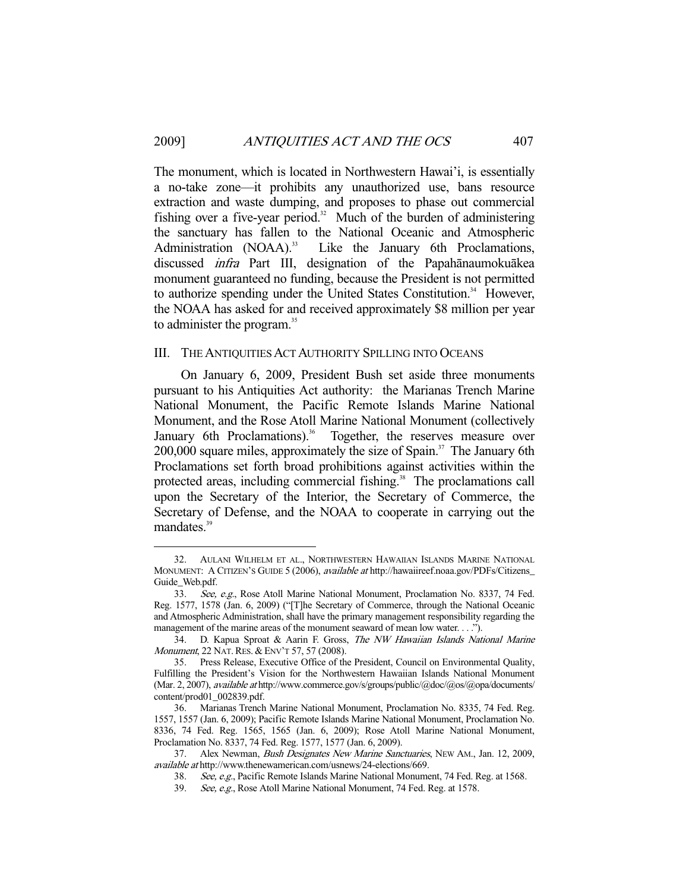The monument, which is located in Northwestern Hawai'i, is essentially a no-take zone—it prohibits any unauthorized use, bans resource extraction and waste dumping, and proposes to phase out commercial fishing over a five-year period.<sup>32</sup> Much of the burden of administering the sanctuary has fallen to the National Oceanic and Atmospheric Administration (NOAA).<sup>33</sup> Like the January 6th Proclamations, discussed infra Part III, designation of the Papahānaumokuākea monument guaranteed no funding, because the President is not permitted to authorize spending under the United States Constitution.<sup>34</sup> However, the NOAA has asked for and received approximately \$8 million per year to administer the program.<sup>35</sup>

#### III. THE ANTIQUITIES ACT AUTHORITY SPILLING INTO OCEANS

 On January 6, 2009, President Bush set aside three monuments pursuant to his Antiquities Act authority: the Marianas Trench Marine National Monument, the Pacific Remote Islands Marine National Monument, and the Rose Atoll Marine National Monument (collectively January 6th Proclamations).<sup>36</sup> Together, the reserves measure over 200,000 square miles, approximately the size of Spain.<sup>37</sup> The January 6th Proclamations set forth broad prohibitions against activities within the protected areas, including commercial fishing.<sup>38</sup> The proclamations call upon the Secretary of the Interior, the Secretary of Commerce, the Secretary of Defense, and the NOAA to cooperate in carrying out the mandates.<sup>39</sup>

 <sup>32.</sup> AULANI WILHELM ET AL., NORTHWESTERN HAWAIIAN ISLANDS MARINE NATIONAL MONUMENT: A CITIZEN'S GUIDE 5 (2006), available at http://hawaiireef.noaa.gov/PDFs/Citizens\_ Guide\_Web.pdf.

 <sup>33.</sup> See, e.g., Rose Atoll Marine National Monument, Proclamation No. 8337, 74 Fed. Reg. 1577, 1578 (Jan. 6, 2009) ("[T]he Secretary of Commerce, through the National Oceanic and Atmospheric Administration, shall have the primary management responsibility regarding the management of the marine areas of the monument seaward of mean low water. . . .").

 <sup>34.</sup> D. Kapua Sproat & Aarin F. Gross, The NW Hawaiian Islands National Marine Monument, 22 NAT. RES. & ENV'T 57, 57 (2008).

 <sup>35.</sup> Press Release, Executive Office of the President, Council on Environmental Quality, Fulfilling the President's Vision for the Northwestern Hawaiian Islands National Monument (Mar. 2, 2007), available at http://www.commerce.gov/s/groups/public/@doc/@os/@opa/documents/ content/prod01\_002839.pdf.

 <sup>36.</sup> Marianas Trench Marine National Monument, Proclamation No. 8335, 74 Fed. Reg. 1557, 1557 (Jan. 6, 2009); Pacific Remote Islands Marine National Monument, Proclamation No. 8336, 74 Fed. Reg. 1565, 1565 (Jan. 6, 2009); Rose Atoll Marine National Monument, Proclamation No. 8337, 74 Fed. Reg. 1577, 1577 (Jan. 6, 2009).

<sup>37.</sup> Alex Newman, Bush Designates New Marine Sanctuaries, NEW AM., Jan. 12, 2009, available at http://www.thenewamerican.com/usnews/24-elections/669.

 <sup>38.</sup> See, e.g., Pacific Remote Islands Marine National Monument, 74 Fed. Reg. at 1568.

<sup>39.</sup> See, e.g., Rose Atoll Marine National Monument, 74 Fed. Reg. at 1578.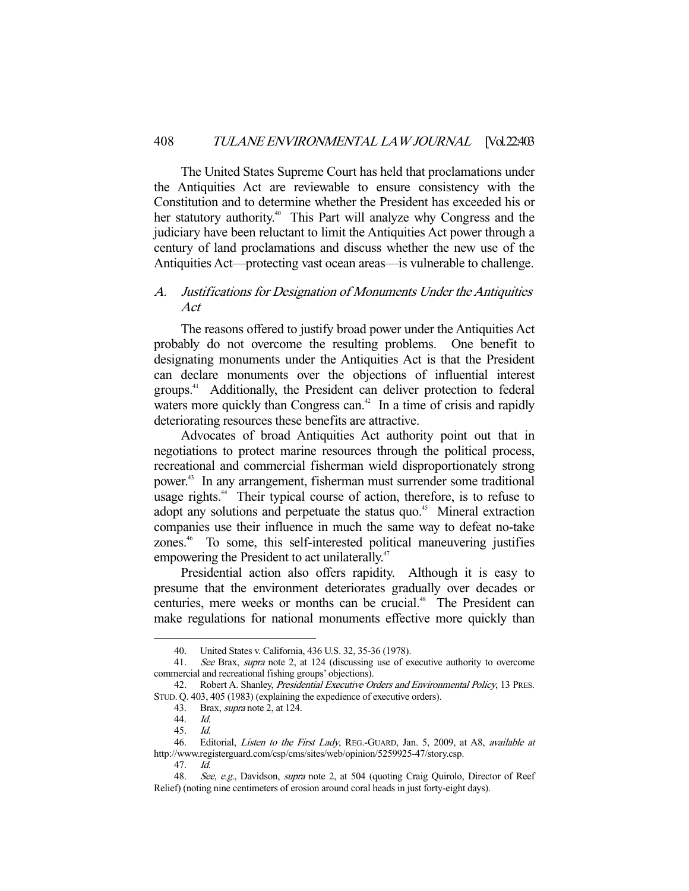The United States Supreme Court has held that proclamations under the Antiquities Act are reviewable to ensure consistency with the Constitution and to determine whether the President has exceeded his or her statutory authority.<sup>40</sup> This Part will analyze why Congress and the judiciary have been reluctant to limit the Antiquities Act power through a century of land proclamations and discuss whether the new use of the Antiquities Act—protecting vast ocean areas—is vulnerable to challenge.

#### A. Justifications for Designation of Monuments Under the Antiquities Act

 The reasons offered to justify broad power under the Antiquities Act probably do not overcome the resulting problems. One benefit to designating monuments under the Antiquities Act is that the President can declare monuments over the objections of influential interest groups.41 Additionally, the President can deliver protection to federal waters more quickly than Congress can.<sup>42</sup> In a time of crisis and rapidly deteriorating resources these benefits are attractive.

 Advocates of broad Antiquities Act authority point out that in negotiations to protect marine resources through the political process, recreational and commercial fisherman wield disproportionately strong power.43 In any arrangement, fisherman must surrender some traditional usage rights.<sup>44</sup> Their typical course of action, therefore, is to refuse to adopt any solutions and perpetuate the status quo.<sup>45</sup> Mineral extraction companies use their influence in much the same way to defeat no-take zones.<sup>46</sup> To some, this self-interested political maneuvering justifies empowering the President to act unilaterally.<sup>47</sup>

 Presidential action also offers rapidity. Although it is easy to presume that the environment deteriorates gradually over decades or centuries, mere weeks or months can be crucial.<sup>48</sup> The President can make regulations for national monuments effective more quickly than

 <sup>40.</sup> United States v. California, 436 U.S. 32, 35-36 (1978).

 <sup>41.</sup> See Brax, supra note 2, at 124 (discussing use of executive authority to overcome commercial and recreational fishing groups' objections).

<sup>42.</sup> Robert A. Shanley, Presidential Executive Orders and Environmental Policy, 13 PRES. STUD. Q. 403, 405 (1983) (explaining the expedience of executive orders).

 <sup>43.</sup> Brax, supra note 2, at 124.

 <sup>44.</sup> Id.

 <sup>45.</sup> Id.

<sup>46.</sup> Editorial, Listen to the First Lady, REG.-GUARD, Jan. 5, 2009, at A8, available at http://www.registerguard.com/csp/cms/sites/web/opinion/5259925-47/story.csp.

 <sup>47.</sup> Id.

<sup>48.</sup> See, e.g., Davidson, supra note 2, at 504 (quoting Craig Quirolo, Director of Reef Relief) (noting nine centimeters of erosion around coral heads in just forty-eight days).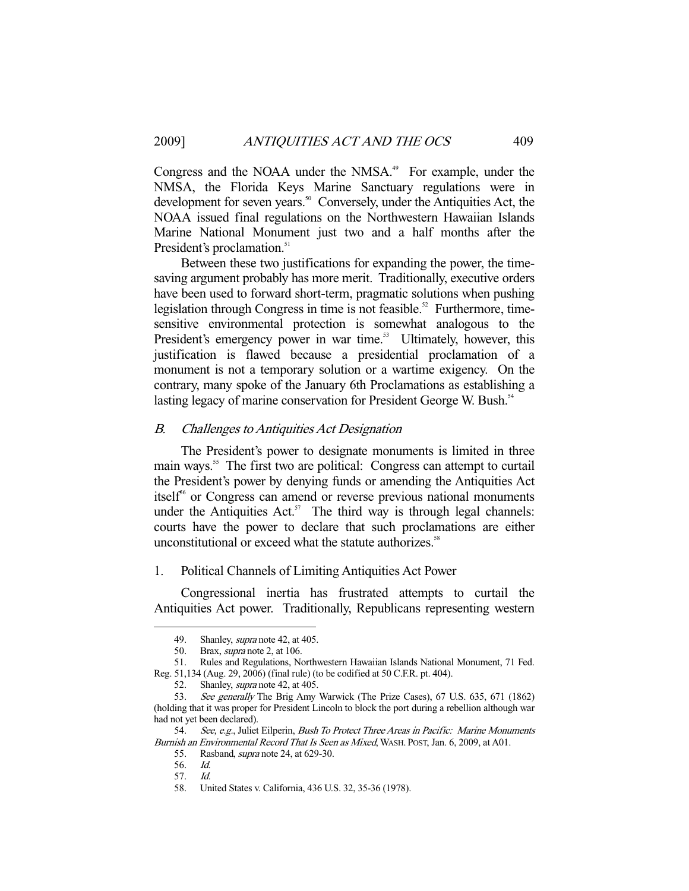Congress and the NOAA under the NMSA.<sup>49</sup> For example, under the NMSA, the Florida Keys Marine Sanctuary regulations were in development for seven years.<sup>50</sup> Conversely, under the Antiquities Act, the NOAA issued final regulations on the Northwestern Hawaiian Islands Marine National Monument just two and a half months after the President's proclamation.<sup>51</sup>

 Between these two justifications for expanding the power, the timesaving argument probably has more merit. Traditionally, executive orders have been used to forward short-term, pragmatic solutions when pushing legislation through Congress in time is not feasible.<sup>52</sup> Furthermore, timesensitive environmental protection is somewhat analogous to the President's emergency power in war time.<sup>53</sup> Ultimately, however, this justification is flawed because a presidential proclamation of a monument is not a temporary solution or a wartime exigency. On the contrary, many spoke of the January 6th Proclamations as establishing a lasting legacy of marine conservation for President George W. Bush.<sup>54</sup>

#### B. Challenges to Antiquities Act Designation

 The President's power to designate monuments is limited in three main ways.<sup>55</sup> The first two are political: Congress can attempt to curtail the President's power by denying funds or amending the Antiquities Act itself $6$  or Congress can amend or reverse previous national monuments under the Antiquities Act.<sup>57</sup> The third way is through legal channels: courts have the power to declare that such proclamations are either unconstitutional or exceed what the statute authorizes.<sup>58</sup>

#### 1. Political Channels of Limiting Antiquities Act Power

 Congressional inertia has frustrated attempts to curtail the Antiquities Act power. Traditionally, Republicans representing western

<sup>49.</sup> Shanley, *supra* note 42, at 405.

 <sup>50.</sup> Brax, supra note 2, at 106.

 <sup>51.</sup> Rules and Regulations, Northwestern Hawaiian Islands National Monument, 71 Fed. Reg. 51,134 (Aug. 29, 2006) (final rule) (to be codified at 50 C.F.R. pt. 404).

<sup>52.</sup> Shanley, *supra* note 42, at 405.

 <sup>53.</sup> See generally The Brig Amy Warwick (The Prize Cases), 67 U.S. 635, 671 (1862) (holding that it was proper for President Lincoln to block the port during a rebellion although war had not yet been declared).

<sup>54.</sup> See, e.g., Juliet Eilperin, Bush To Protect Three Areas in Pacific: Marine Monuments Burnish an Environmental Record That Is Seen as Mixed, WASH. POST, Jan. 6, 2009, at A01.

 <sup>55.</sup> Rasband, supra note 24, at 629-30.

 <sup>56.</sup> Id.

 <sup>57.</sup> Id.

 <sup>58.</sup> United States v. California, 436 U.S. 32, 35-36 (1978).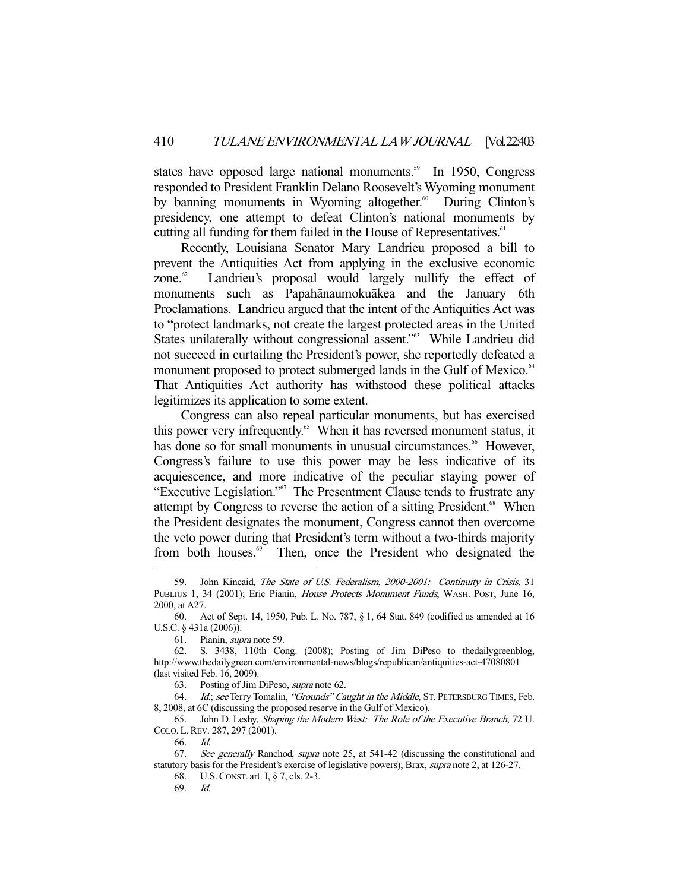states have opposed large national monuments.<sup>59</sup> In 1950, Congress responded to President Franklin Delano Roosevelt's Wyoming monument by banning monuments in Wyoming altogether.<sup>60</sup> During Clinton's presidency, one attempt to defeat Clinton's national monuments by cutting all funding for them failed in the House of Representatives.<sup>61</sup>

 Recently, Louisiana Senator Mary Landrieu proposed a bill to prevent the Antiquities Act from applying in the exclusive economic zone.<sup>62</sup> Landrieu's proposal would largely nullify the effect of monuments such as Papahānaumokuākea and the January 6th Proclamations. Landrieu argued that the intent of the Antiquities Act was to "protect landmarks, not create the largest protected areas in the United States unilaterally without congressional assent."<sup>63</sup> While Landrieu did not succeed in curtailing the President's power, she reportedly defeated a monument proposed to protect submerged lands in the Gulf of Mexico.<sup>64</sup> That Antiquities Act authority has withstood these political attacks legitimizes its application to some extent.

 Congress can also repeal particular monuments, but has exercised this power very infrequently.<sup>65</sup> When it has reversed monument status, it has done so for small monuments in unusual circumstances.<sup>66</sup> However, Congress's failure to use this power may be less indicative of its acquiescence, and more indicative of the peculiar staying power of "Executive Legislation."67 The Presentment Clause tends to frustrate any attempt by Congress to reverse the action of a sitting President.<sup>68</sup> When the President designates the monument, Congress cannot then overcome the veto power during that President's term without a two-thirds majority from both houses.<sup>69</sup> Then, once the President who designated the

63. Posting of Jim DiPeso, supra note 62.

64. *Id.; see* Terry Tomalin, "Grounds" Caught in the Middle, ST. PETERSBURG TIMES, Feb. 8, 2008, at 6C (discussing the proposed reserve in the Gulf of Mexico).

 65. John D. Leshy, Shaping the Modern West: The Role of the Executive Branch, 72 U. COLO. L.REV. 287, 297 (2001).

66. Id.

-

68. U.S.CONST. art. I, § 7, cls. 2-3.

69. Id.

 <sup>59.</sup> John Kincaid, The State of U.S. Federalism, 2000-2001: Continuity in Crisis, 31 PUBLIUS 1, 34 (2001); Eric Pianin, *House Protects Monument Funds*, WASH. POST, June 16, 2000, at A27.

 <sup>60.</sup> Act of Sept. 14, 1950, Pub. L. No. 787, § 1, 64 Stat. 849 (codified as amended at 16 U.S.C. § 431a (2006)).

 <sup>61.</sup> Pianin, supra note 59.

 <sup>62.</sup> S. 3438, 110th Cong. (2008); Posting of Jim DiPeso to thedailygreenblog, http://www.thedailygreen.com/environmental-news/blogs/republican/antiquities-act-47080801 (last visited Feb. 16, 2009).

<sup>67.</sup> See generally Ranchod, supra note 25, at 541-42 (discussing the constitutional and statutory basis for the President's exercise of legislative powers); Brax, *supra* note 2, at 126-27.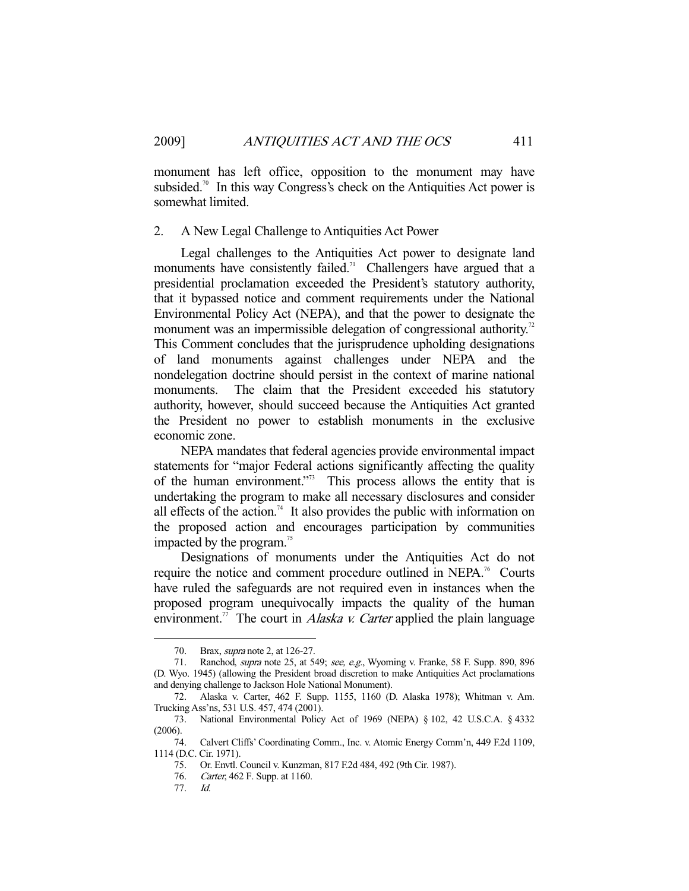monument has left office, opposition to the monument may have subsided.<sup>70</sup> In this way Congress's check on the Antiquities Act power is somewhat limited.

#### 2. A New Legal Challenge to Antiquities Act Power

 Legal challenges to the Antiquities Act power to designate land monuments have consistently failed.<sup>71</sup> Challengers have argued that a presidential proclamation exceeded the President's statutory authority, that it bypassed notice and comment requirements under the National Environmental Policy Act (NEPA), and that the power to designate the monument was an impermissible delegation of congressional authority.<sup>72</sup> This Comment concludes that the jurisprudence upholding designations of land monuments against challenges under NEPA and the nondelegation doctrine should persist in the context of marine national monuments. The claim that the President exceeded his statutory authority, however, should succeed because the Antiquities Act granted the President no power to establish monuments in the exclusive economic zone.

 NEPA mandates that federal agencies provide environmental impact statements for "major Federal actions significantly affecting the quality of the human environment."73 This process allows the entity that is undertaking the program to make all necessary disclosures and consider all effects of the action.<sup>74</sup> It also provides the public with information on the proposed action and encourages participation by communities impacted by the program.<sup>75</sup>

 Designations of monuments under the Antiquities Act do not require the notice and comment procedure outlined in NEPA.<sup>76</sup> Courts have ruled the safeguards are not required even in instances when the proposed program unequivocally impacts the quality of the human environment.<sup>77</sup> The court in *Alaska v. Carter* applied the plain language

<sup>70.</sup> Brax, *supra* note 2, at 126-27.

<sup>71.</sup> Ranchod, *supra* note 25, at 549; see, e.g., Wyoming v. Franke, 58 F. Supp. 890, 896 (D. Wyo. 1945) (allowing the President broad discretion to make Antiquities Act proclamations and denying challenge to Jackson Hole National Monument).

 <sup>72.</sup> Alaska v. Carter, 462 F. Supp. 1155, 1160 (D. Alaska 1978); Whitman v. Am. Trucking Ass'ns, 531 U.S. 457, 474 (2001).

 <sup>73.</sup> National Environmental Policy Act of 1969 (NEPA) § 102, 42 U.S.C.A. § 4332 (2006).

 <sup>74.</sup> Calvert Cliffs' Coordinating Comm., Inc. v. Atomic Energy Comm'n, 449 F.2d 1109, 1114 (D.C. Cir. 1971).

 <sup>75.</sup> Or. Envtl. Council v. Kunzman, 817 F.2d 484, 492 (9th Cir. 1987).

 <sup>76.</sup> Carter, 462 F. Supp. at 1160.

 <sup>77.</sup> Id.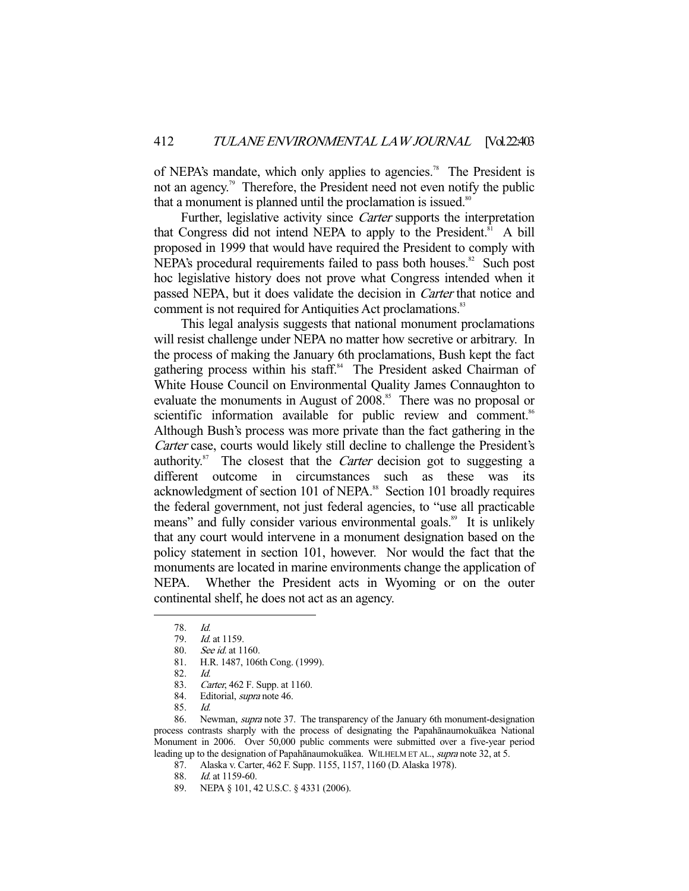of NEPA's mandate, which only applies to agencies.<sup>78</sup> The President is not an agency.<sup>79</sup> Therefore, the President need not even notify the public that a monument is planned until the proclamation is issued. $80$ 

 Further, legislative activity since Carter supports the interpretation that Congress did not intend NEPA to apply to the President.<sup>81</sup> A bill proposed in 1999 that would have required the President to comply with NEPA's procedural requirements failed to pass both houses. $82$  Such post hoc legislative history does not prove what Congress intended when it passed NEPA, but it does validate the decision in Carter that notice and comment is not required for Antiquities Act proclamations.<sup>83</sup>

 This legal analysis suggests that national monument proclamations will resist challenge under NEPA no matter how secretive or arbitrary. In the process of making the January 6th proclamations, Bush kept the fact gathering process within his staff.<sup>84</sup> The President asked Chairman of White House Council on Environmental Quality James Connaughton to evaluate the monuments in August of 2008.<sup>85</sup> There was no proposal or scientific information available for public review and comment.<sup>86</sup> Although Bush's process was more private than the fact gathering in the Carter case, courts would likely still decline to challenge the President's authority.<sup>87</sup> The closest that the *Carter* decision got to suggesting a different outcome in circumstances such as these was its acknowledgment of section 101 of NEPA.<sup>88</sup> Section 101 broadly requires the federal government, not just federal agencies, to "use all practicable means" and fully consider various environmental goals.<sup>89</sup> It is unlikely that any court would intervene in a monument designation based on the policy statement in section 101, however. Nor would the fact that the monuments are located in marine environments change the application of NEPA. Whether the President acts in Wyoming or on the outer continental shelf, he does not act as an agency.

-

87. Alaska v. Carter, 462 F. Supp. 1155, 1157, 1160 (D. Alaska 1978).

88. Id. at 1159-60.

 <sup>78.</sup> Id.

<sup>79.</sup> *Id.* at 1159.

 <sup>80.</sup> See id. at 1160.

 <sup>81.</sup> H.R. 1487, 106th Cong. (1999).

 <sup>82.</sup> Id.

 <sup>83.</sup> Carter, 462 F. Supp. at 1160.

<sup>84.</sup> Editorial, supra note 46.

 <sup>85.</sup> Id.

 <sup>86.</sup> Newman, supra note 37. The transparency of the January 6th monument-designation process contrasts sharply with the process of designating the Papahānaumokuākea National Monument in 2006. Over 50,000 public comments were submitted over a five-year period leading up to the designation of Papahānaumokuākea. WILHELM ET AL., supra note 32, at 5.

 <sup>89.</sup> NEPA § 101, 42 U.S.C. § 4331 (2006).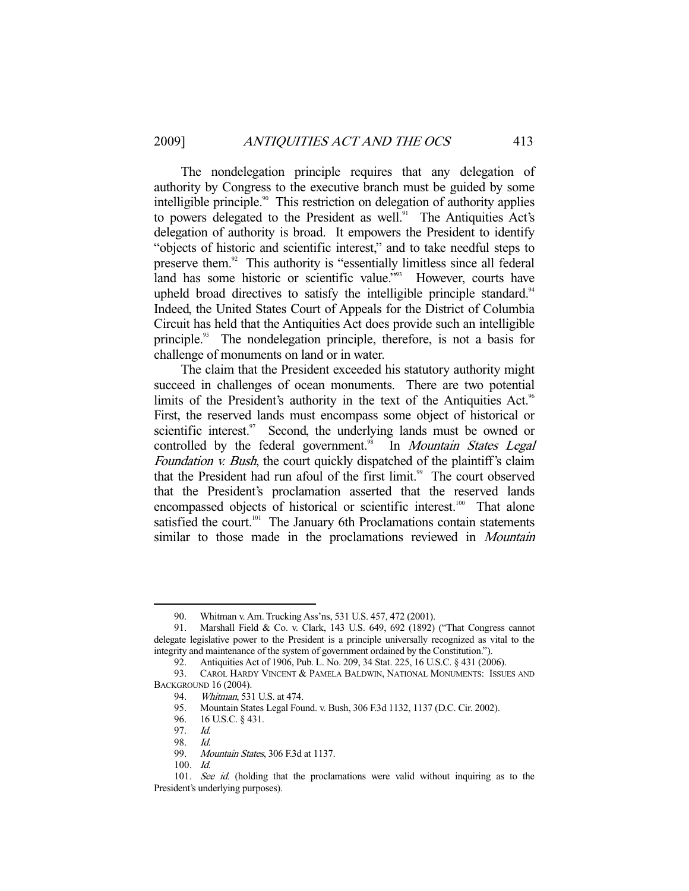The nondelegation principle requires that any delegation of authority by Congress to the executive branch must be guided by some intelligible principle.<sup>90</sup> This restriction on delegation of authority applies to powers delegated to the President as well.<sup>91</sup> The Antiquities Act's delegation of authority is broad. It empowers the President to identify "objects of historic and scientific interest," and to take needful steps to preserve them.92 This authority is "essentially limitless since all federal land has some historic or scientific value."<sup>93</sup> However, courts have upheld broad directives to satisfy the intelligible principle standard.<sup>94</sup> Indeed, the United States Court of Appeals for the District of Columbia Circuit has held that the Antiquities Act does provide such an intelligible principle.<sup>95</sup> The nondelegation principle, therefore, is not a basis for challenge of monuments on land or in water.

 The claim that the President exceeded his statutory authority might succeed in challenges of ocean monuments. There are two potential limits of the President's authority in the text of the Antiquities Act.<sup>96</sup> First, the reserved lands must encompass some object of historical or scientific interest. $\frac{97}{10}$  Second, the underlying lands must be owned or controlled by the federal government.<sup>98</sup> In *Mountain States Legal* Foundation *v. Bush*, the court quickly dispatched of the plaintiff's claim that the President had run afoul of the first limit.<sup>99</sup> The court observed that the President's proclamation asserted that the reserved lands encompassed objects of historical or scientific interest.<sup>100</sup> That alone satisfied the court.<sup>101</sup> The January 6th Proclamations contain statements similar to those made in the proclamations reviewed in *Mountain* 

 <sup>90.</sup> Whitman v. Am. Trucking Ass'ns, 531 U.S. 457, 472 (2001).

 <sup>91.</sup> Marshall Field & Co. v. Clark, 143 U.S. 649, 692 (1892) ("That Congress cannot delegate legislative power to the President is a principle universally recognized as vital to the integrity and maintenance of the system of government ordained by the Constitution.").

 <sup>92.</sup> Antiquities Act of 1906, Pub. L. No. 209, 34 Stat. 225, 16 U.S.C. § 431 (2006).

 <sup>93.</sup> CAROL HARDY VINCENT & PAMELA BALDWIN, NATIONAL MONUMENTS: ISSUES AND BACKGROUND 16 (2004).

 <sup>94.</sup> Whitman, 531 U.S. at 474.

 <sup>95.</sup> Mountain States Legal Found. v. Bush, 306 F.3d 1132, 1137 (D.C. Cir. 2002).

 <sup>96. 16</sup> U.S.C. § 431.

 <sup>97.</sup> Id.

<sup>98.</sup> *Id.*<br>99. Ma

Mountain States, 306 F.3d at 1137.

 <sup>100.</sup> Id.

<sup>101.</sup> See id. (holding that the proclamations were valid without inquiring as to the President's underlying purposes).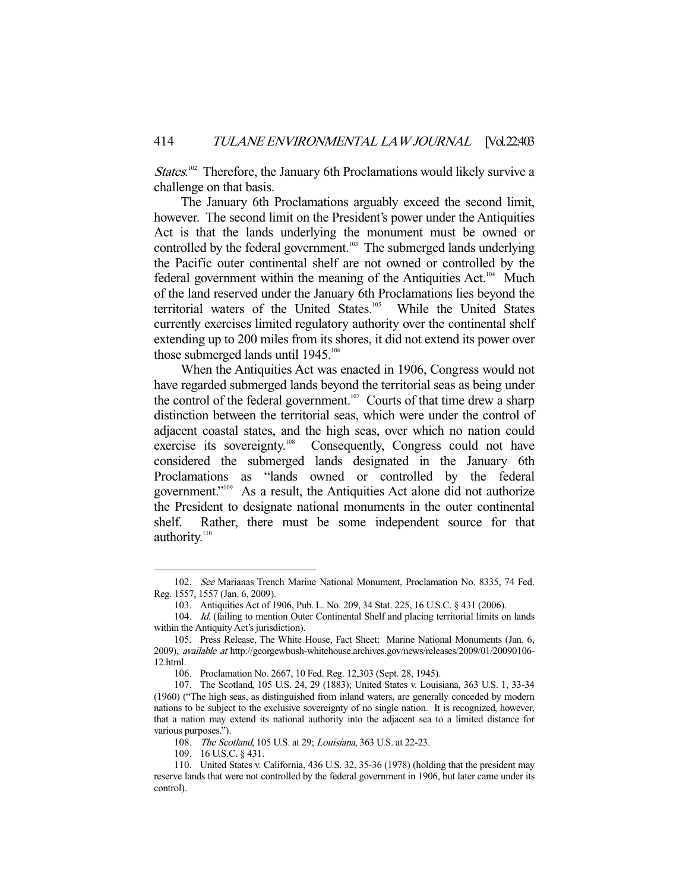States.<sup>102</sup> Therefore, the January 6th Proclamations would likely survive a challenge on that basis.

 The January 6th Proclamations arguably exceed the second limit, however. The second limit on the President's power under the Antiquities Act is that the lands underlying the monument must be owned or controlled by the federal government.<sup>103</sup> The submerged lands underlying the Pacific outer continental shelf are not owned or controlled by the federal government within the meaning of the Antiquities Act.<sup>104</sup> Much of the land reserved under the January 6th Proclamations lies beyond the territorial waters of the United States.<sup>105</sup> While the United States currently exercises limited regulatory authority over the continental shelf extending up to 200 miles from its shores, it did not extend its power over those submerged lands until  $1945.^{106}$ 

 When the Antiquities Act was enacted in 1906, Congress would not have regarded submerged lands beyond the territorial seas as being under the control of the federal government.<sup>107</sup> Courts of that time drew a sharp distinction between the territorial seas, which were under the control of adjacent coastal states, and the high seas, over which no nation could exercise its sovereignty.<sup>108</sup> Consequently, Congress could not have considered the submerged lands designated in the January 6th Proclamations as "lands owned or controlled by the federal government."109 As a result, the Antiquities Act alone did not authorize the President to designate national monuments in the outer continental shelf. Rather, there must be some independent source for that authority.<sup>110</sup>

 <sup>102.</sup> See Marianas Trench Marine National Monument, Proclamation No. 8335, 74 Fed. Reg. 1557, 1557 (Jan. 6, 2009).

 <sup>103.</sup> Antiquities Act of 1906, Pub. L. No. 209, 34 Stat. 225, 16 U.S.C. § 431 (2006).

<sup>104.</sup> Id. (failing to mention Outer Continental Shelf and placing territorial limits on lands within the Antiquity Act's jurisdiction).

 <sup>105.</sup> Press Release, The White House, Fact Sheet: Marine National Monuments (Jan. 6, 2009), available at http://georgewbush-whitehouse.archives.gov/news/releases/2009/01/20090106- 12.html.

 <sup>106.</sup> Proclamation No. 2667, 10 Fed. Reg. 12,303 (Sept. 28, 1945).

 <sup>107.</sup> The Scotland, 105 U.S. 24, 29 (1883); United States v. Louisiana, 363 U.S. 1, 33-34 (1960) ("The high seas, as distinguished from inland waters, are generally conceded by modern nations to be subject to the exclusive sovereignty of no single nation. It is recognized, however, that a nation may extend its national authority into the adjacent sea to a limited distance for various purposes.").

 <sup>108.</sup> The Scotland, 105 U.S. at 29; Louisiana, 363 U.S. at 22-23.

 <sup>109. 16</sup> U.S.C. § 431.

 <sup>110.</sup> United States v. California, 436 U.S. 32, 35-36 (1978) (holding that the president may reserve lands that were not controlled by the federal government in 1906, but later came under its control).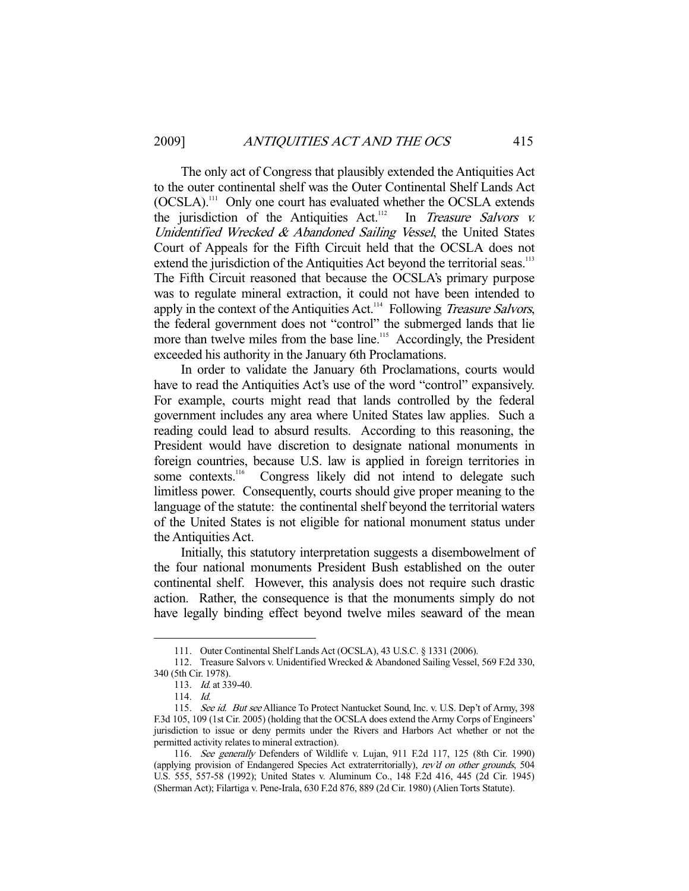The only act of Congress that plausibly extended the Antiquities Act to the outer continental shelf was the Outer Continental Shelf Lands Act (OCSLA).111 Only one court has evaluated whether the OCSLA extends the jurisdiction of the Antiquities Act.<sup>112</sup> In *Treasure Salvors v.* Unidentified Wrecked  $\&$  Abandoned Sailing Vessel, the United States Court of Appeals for the Fifth Circuit held that the OCSLA does not extend the jurisdiction of the Antiquities Act beyond the territorial seas.<sup>113</sup> The Fifth Circuit reasoned that because the OCSLA's primary purpose was to regulate mineral extraction, it could not have been intended to apply in the context of the Antiquities Act.<sup>114</sup> Following Treasure Salvors, the federal government does not "control" the submerged lands that lie more than twelve miles from the base line.<sup>115</sup> Accordingly, the President exceeded his authority in the January 6th Proclamations.

 In order to validate the January 6th Proclamations, courts would have to read the Antiquities Act's use of the word "control" expansively. For example, courts might read that lands controlled by the federal government includes any area where United States law applies. Such a reading could lead to absurd results. According to this reasoning, the President would have discretion to designate national monuments in foreign countries, because U.S. law is applied in foreign territories in some contexts.<sup>116</sup> Congress likely did not intend to delegate such limitless power. Consequently, courts should give proper meaning to the language of the statute: the continental shelf beyond the territorial waters of the United States is not eligible for national monument status under the Antiquities Act.

 Initially, this statutory interpretation suggests a disembowelment of the four national monuments President Bush established on the outer continental shelf. However, this analysis does not require such drastic action. Rather, the consequence is that the monuments simply do not have legally binding effect beyond twelve miles seaward of the mean

 <sup>111.</sup> Outer Continental Shelf Lands Act (OCSLA), 43 U.S.C. § 1331 (2006).

 <sup>112.</sup> Treasure Salvors v. Unidentified Wrecked & Abandoned Sailing Vessel, 569 F.2d 330, 340 (5th Cir. 1978).

 <sup>113.</sup> Id. at 339-40.

 <sup>114.</sup> Id.

<sup>115.</sup> See id. But see Alliance To Protect Nantucket Sound, Inc. v. U.S. Dep't of Army, 398 F.3d 105, 109 (1st Cir. 2005) (holding that the OCSLA does extend the Army Corps of Engineers' jurisdiction to issue or deny permits under the Rivers and Harbors Act whether or not the permitted activity relates to mineral extraction).

 <sup>116.</sup> See generally Defenders of Wildlife v. Lujan, 911 F.2d 117, 125 (8th Cir. 1990) (applying provision of Endangered Species Act extraterritorially), rev'd on other grounds, 504 U.S. 555, 557-58 (1992); United States v. Aluminum Co., 148 F.2d 416, 445 (2d Cir. 1945) (Sherman Act); Filartiga v. Pene-Irala, 630 F.2d 876, 889 (2d Cir. 1980) (Alien Torts Statute).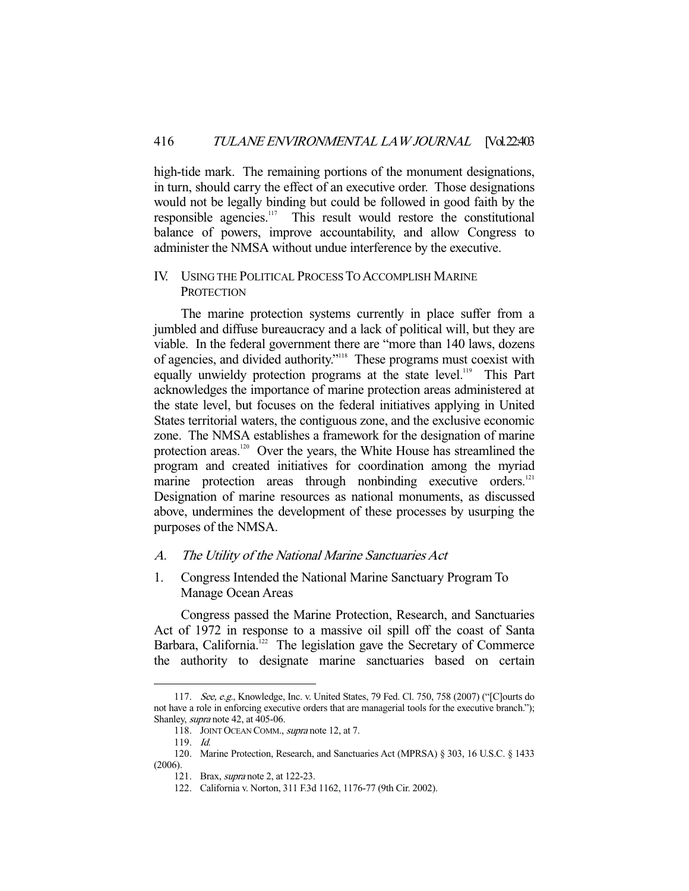high-tide mark. The remaining portions of the monument designations, in turn, should carry the effect of an executive order. Those designations would not be legally binding but could be followed in good faith by the responsible agencies.<sup>117</sup> This result would restore the constitutional balance of powers, improve accountability, and allow Congress to administer the NMSA without undue interference by the executive.

#### IV. USING THE POLITICAL PROCESS TO ACCOMPLISH MARINE **PROTECTION**

 The marine protection systems currently in place suffer from a jumbled and diffuse bureaucracy and a lack of political will, but they are viable. In the federal government there are "more than 140 laws, dozens of agencies, and divided authority."118 These programs must coexist with equally unwieldy protection programs at the state level.<sup>119</sup> This Part acknowledges the importance of marine protection areas administered at the state level, but focuses on the federal initiatives applying in United States territorial waters, the contiguous zone, and the exclusive economic zone. The NMSA establishes a framework for the designation of marine protection areas.<sup>120</sup> Over the years, the White House has streamlined the program and created initiatives for coordination among the myriad marine protection areas through nonbinding executive orders.<sup>121</sup> Designation of marine resources as national monuments, as discussed above, undermines the development of these processes by usurping the purposes of the NMSA.

#### A. The Utility of the National Marine Sanctuaries Act

1. Congress Intended the National Marine Sanctuary Program To Manage Ocean Areas

 Congress passed the Marine Protection, Research, and Sanctuaries Act of 1972 in response to a massive oil spill off the coast of Santa Barbara, California.<sup>122</sup> The legislation gave the Secretary of Commerce the authority to designate marine sanctuaries based on certain

 <sup>117.</sup> See, e.g., Knowledge, Inc. v. United States, 79 Fed. Cl. 750, 758 (2007) ("[C]ourts do not have a role in enforcing executive orders that are managerial tools for the executive branch."); Shanley, supra note 42, at 405-06.

<sup>118.</sup> JOINT OCEAN COMM., supra note 12, at 7.

 <sup>119.</sup> Id.

 <sup>120.</sup> Marine Protection, Research, and Sanctuaries Act (MPRSA) § 303, 16 U.S.C. § 1433 (2006).

 <sup>121.</sup> Brax, supra note 2, at 122-23.

 <sup>122.</sup> California v. Norton, 311 F.3d 1162, 1176-77 (9th Cir. 2002).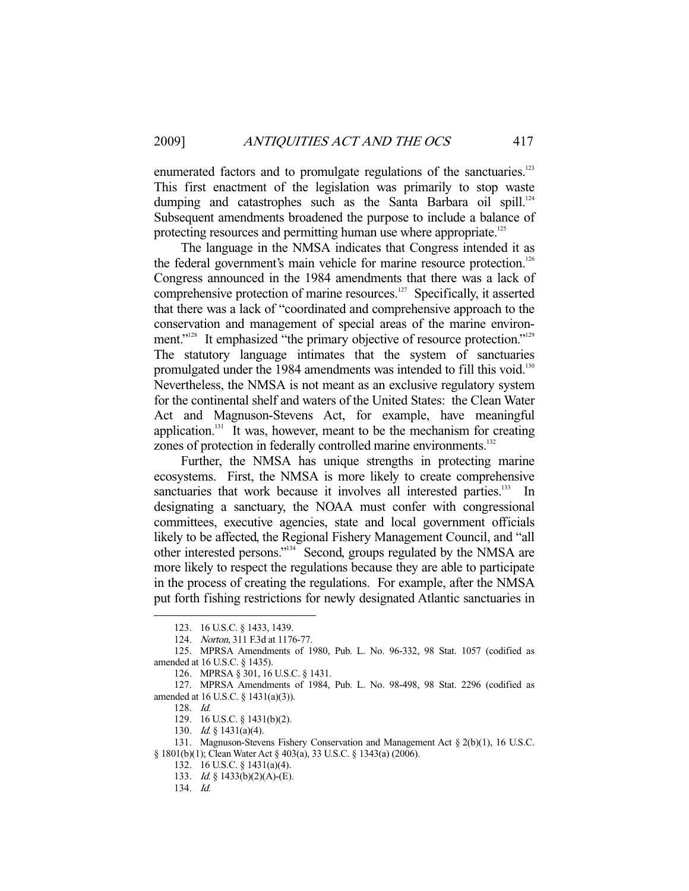enumerated factors and to promulgate regulations of the sanctuaries.<sup>123</sup> This first enactment of the legislation was primarily to stop waste dumping and catastrophes such as the Santa Barbara oil spill.<sup>124</sup> Subsequent amendments broadened the purpose to include a balance of protecting resources and permitting human use where appropriate.<sup>125</sup>

 The language in the NMSA indicates that Congress intended it as the federal government's main vehicle for marine resource protection.<sup>126</sup> Congress announced in the 1984 amendments that there was a lack of comprehensive protection of marine resources. $127$  Specifically, it asserted that there was a lack of "coordinated and comprehensive approach to the conservation and management of special areas of the marine environment."<sup>128</sup> It emphasized "the primary objective of resource protection."<sup>129</sup> The statutory language intimates that the system of sanctuaries promulgated under the 1984 amendments was intended to fill this void.<sup>130</sup> Nevertheless, the NMSA is not meant as an exclusive regulatory system for the continental shelf and waters of the United States: the Clean Water Act and Magnuson-Stevens Act, for example, have meaningful application.<sup>131</sup> It was, however, meant to be the mechanism for creating zones of protection in federally controlled marine environments.<sup>132</sup>

 Further, the NMSA has unique strengths in protecting marine ecosystems. First, the NMSA is more likely to create comprehensive sanctuaries that work because it involves all interested parties.<sup>133</sup> In designating a sanctuary, the NOAA must confer with congressional committees, executive agencies, state and local government officials likely to be affected, the Regional Fishery Management Council, and "all other interested persons."134 Second, groups regulated by the NMSA are more likely to respect the regulations because they are able to participate in the process of creating the regulations. For example, after the NMSA put forth fishing restrictions for newly designated Atlantic sanctuaries in

 <sup>123. 16</sup> U.S.C. § 1433, 1439.

 <sup>124.</sup> Norton, 311 F.3d at 1176-77.

 <sup>125.</sup> MPRSA Amendments of 1980, Pub. L. No. 96-332, 98 Stat. 1057 (codified as amended at 16 U.S.C. § 1435).

 <sup>126.</sup> MPRSA § 301, 16 U.S.C. § 1431.

 <sup>127.</sup> MPRSA Amendments of 1984, Pub. L. No. 98-498, 98 Stat. 2296 (codified as amended at 16 U.S.C. § 1431(a)(3)).

 <sup>128.</sup> Id.

 <sup>129. 16</sup> U.S.C. § 1431(b)(2).

 <sup>130.</sup> Id. § 1431(a)(4).

 <sup>131.</sup> Magnuson-Stevens Fishery Conservation and Management Act § 2(b)(1), 16 U.S.C. § 1801(b)(1); Clean Water Act § 403(a), 33 U.S.C. § 1343(a) (2006).

 <sup>132. 16</sup> U.S.C. § 1431(a)(4).

 <sup>133.</sup> Id. § 1433(b)(2)(A)-(E).

 <sup>134.</sup> Id.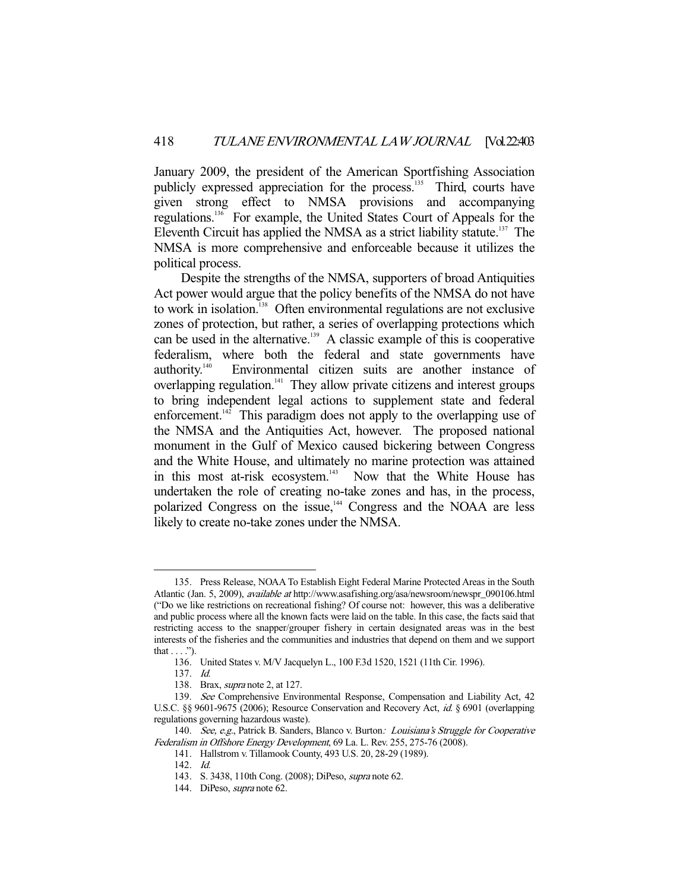January 2009, the president of the American Sportfishing Association publicly expressed appreciation for the process.<sup>135</sup> Third, courts have given strong effect to NMSA provisions and accompanying regulations.136 For example, the United States Court of Appeals for the Eleventh Circuit has applied the NMSA as a strict liability statute.<sup>137</sup> The NMSA is more comprehensive and enforceable because it utilizes the political process.

 Despite the strengths of the NMSA, supporters of broad Antiquities Act power would argue that the policy benefits of the NMSA do not have to work in isolation.<sup>138</sup> Often environmental regulations are not exclusive zones of protection, but rather, a series of overlapping protections which can be used in the alternative.<sup>139</sup> A classic example of this is cooperative federalism, where both the federal and state governments have authority.140 Environmental citizen suits are another instance of overlapping regulation.<sup>141</sup> They allow private citizens and interest groups to bring independent legal actions to supplement state and federal enforcement.<sup>142</sup> This paradigm does not apply to the overlapping use of the NMSA and the Antiquities Act, however. The proposed national monument in the Gulf of Mexico caused bickering between Congress and the White House, and ultimately no marine protection was attained in this most at-risk ecosystem.<sup>143</sup> Now that the White House has undertaken the role of creating no-take zones and has, in the process, polarized Congress on the issue,<sup>144</sup> Congress and the NOAA are less likely to create no-take zones under the NMSA.

 <sup>135.</sup> Press Release, NOAA To Establish Eight Federal Marine Protected Areas in the South Atlantic (Jan. 5, 2009), available at http://www.asafishing.org/asa/newsroom/newspr\_090106.html ("Do we like restrictions on recreational fishing? Of course not: however, this was a deliberative and public process where all the known facts were laid on the table. In this case, the facts said that restricting access to the snapper/grouper fishery in certain designated areas was in the best interests of the fisheries and the communities and industries that depend on them and we support that  $\dots$ .").

 <sup>136.</sup> United States v. M/V Jacquelyn L., 100 F.3d 1520, 1521 (11th Cir. 1996).

 <sup>137.</sup> Id.

 <sup>138.</sup> Brax, supra note 2, at 127.

 <sup>139.</sup> See Comprehensive Environmental Response, Compensation and Liability Act, 42 U.S.C. §§ 9601-9675 (2006); Resource Conservation and Recovery Act, id. § 6901 (overlapping regulations governing hazardous waste).

<sup>140.</sup> See, e.g., Patrick B. Sanders, Blanco v. Burton: Louisiana's Struggle for Cooperative Federalism in Offshore Energy Development, 69 La. L. Rev. 255, 275-76 (2008).

 <sup>141.</sup> Hallstrom v. Tillamook County, 493 U.S. 20, 28-29 (1989).

 <sup>142.</sup> Id.

 <sup>143.</sup> S. 3438, 110th Cong. (2008); DiPeso, supra note 62.

 <sup>144.</sup> DiPeso, supra note 62.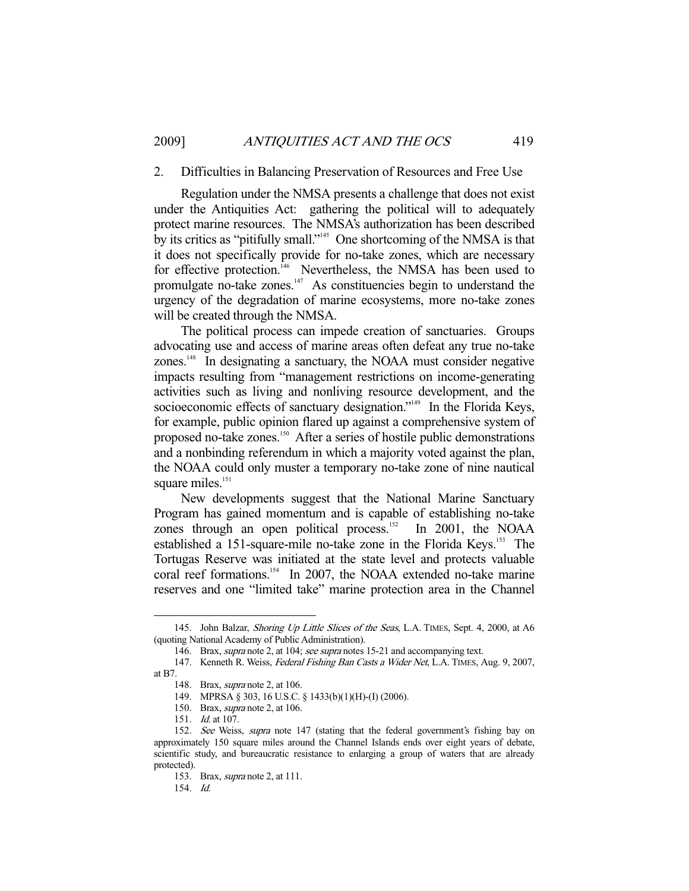#### 2. Difficulties in Balancing Preservation of Resources and Free Use

 Regulation under the NMSA presents a challenge that does not exist under the Antiquities Act: gathering the political will to adequately protect marine resources. The NMSA's authorization has been described by its critics as "pitifully small."145 One shortcoming of the NMSA is that it does not specifically provide for no-take zones, which are necessary for effective protection.<sup> $146$ </sup> Nevertheless, the NMSA has been used to promulgate no-take zones.147 As constituencies begin to understand the urgency of the degradation of marine ecosystems, more no-take zones will be created through the NMSA.

 The political process can impede creation of sanctuaries. Groups advocating use and access of marine areas often defeat any true no-take zones.148 In designating a sanctuary, the NOAA must consider negative impacts resulting from "management restrictions on income-generating activities such as living and nonliving resource development, and the socioeconomic effects of sanctuary designation."<sup>149</sup> In the Florida Keys, for example, public opinion flared up against a comprehensive system of proposed no-take zones.150 After a series of hostile public demonstrations and a nonbinding referendum in which a majority voted against the plan, the NOAA could only muster a temporary no-take zone of nine nautical square miles.<sup>151</sup>

 New developments suggest that the National Marine Sanctuary Program has gained momentum and is capable of establishing no-take zones through an open political process.<sup>152</sup> In 2001, the NOAA established a 151-square-mile no-take zone in the Florida Keys.<sup>153</sup> The Tortugas Reserve was initiated at the state level and protects valuable coral reef formations.<sup>154</sup> In 2007, the NOAA extended no-take marine reserves and one "limited take" marine protection area in the Channel

<sup>145.</sup> John Balzar, Shoring Up Little Slices of the Seas, L.A. TIMES, Sept. 4, 2000, at A6 (quoting National Academy of Public Administration).

<sup>146.</sup> Brax, *supra* note 2, at 104; see supra notes 15-21 and accompanying text.

<sup>147.</sup> Kenneth R. Weiss, Federal Fishing Ban Casts a Wider Net, L.A. TIMES, Aug. 9, 2007,

at B7.

 <sup>148.</sup> Brax, supra note 2, at 106.

 <sup>149.</sup> MPRSA § 303, 16 U.S.C. § 1433(b)(1)(H)-(I) (2006).

 <sup>150.</sup> Brax, supra note 2, at 106.

 <sup>151.</sup> Id. at 107.

<sup>152.</sup> See Weiss, supra note 147 (stating that the federal government's fishing bay on approximately 150 square miles around the Channel Islands ends over eight years of debate, scientific study, and bureaucratic resistance to enlarging a group of waters that are already protected).

 <sup>153.</sup> Brax, supra note 2, at 111.

 <sup>154.</sup> Id.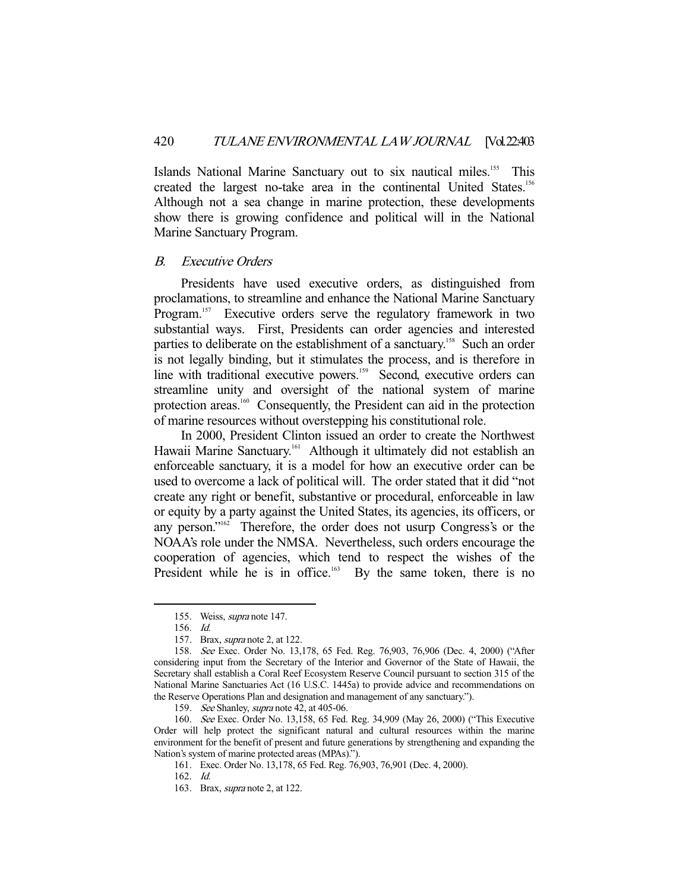Islands National Marine Sanctuary out to six nautical miles.<sup>155</sup> This created the largest no-take area in the continental United States.<sup>156</sup> Although not a sea change in marine protection, these developments show there is growing confidence and political will in the National Marine Sanctuary Program.

#### B. Executive Orders

 Presidents have used executive orders, as distinguished from proclamations, to streamline and enhance the National Marine Sanctuary Program.<sup>157</sup> Executive orders serve the regulatory framework in two substantial ways. First, Presidents can order agencies and interested parties to deliberate on the establishment of a sanctuary.<sup>158</sup> Such an order is not legally binding, but it stimulates the process, and is therefore in line with traditional executive powers.<sup>159</sup> Second, executive orders can streamline unity and oversight of the national system of marine protection areas.<sup>160</sup> Consequently, the President can aid in the protection of marine resources without overstepping his constitutional role.

 In 2000, President Clinton issued an order to create the Northwest Hawaii Marine Sanctuary.<sup>161</sup> Although it ultimately did not establish an enforceable sanctuary, it is a model for how an executive order can be used to overcome a lack of political will. The order stated that it did "not create any right or benefit, substantive or procedural, enforceable in law or equity by a party against the United States, its agencies, its officers, or any person."<sup>162</sup> Therefore, the order does not usurp Congress's or the NOAA's role under the NMSA. Nevertheless, such orders encourage the cooperation of agencies, which tend to respect the wishes of the President while he is in office.<sup>163</sup> By the same token, there is no

-

159. See Shanley, *supra* note 42, at 405-06.

 <sup>155.</sup> Weiss, supra note 147.

 <sup>156.</sup> Id.

 <sup>157.</sup> Brax, supra note 2, at 122.

 <sup>158.</sup> See Exec. Order No. 13,178, 65 Fed. Reg. 76,903, 76,906 (Dec. 4, 2000) ("After considering input from the Secretary of the Interior and Governor of the State of Hawaii, the Secretary shall establish a Coral Reef Ecosystem Reserve Council pursuant to section 315 of the National Marine Sanctuaries Act (16 U.S.C. 1445a) to provide advice and recommendations on the Reserve Operations Plan and designation and management of any sanctuary.").

 <sup>160.</sup> See Exec. Order No. 13,158, 65 Fed. Reg. 34,909 (May 26, 2000) ("This Executive Order will help protect the significant natural and cultural resources within the marine environment for the benefit of present and future generations by strengthening and expanding the Nation's system of marine protected areas (MPAs).").

 <sup>161.</sup> Exec. Order No. 13,178, 65 Fed. Reg. 76,903, 76,901 (Dec. 4, 2000).

 <sup>162.</sup> Id.

 <sup>163.</sup> Brax, supra note 2, at 122.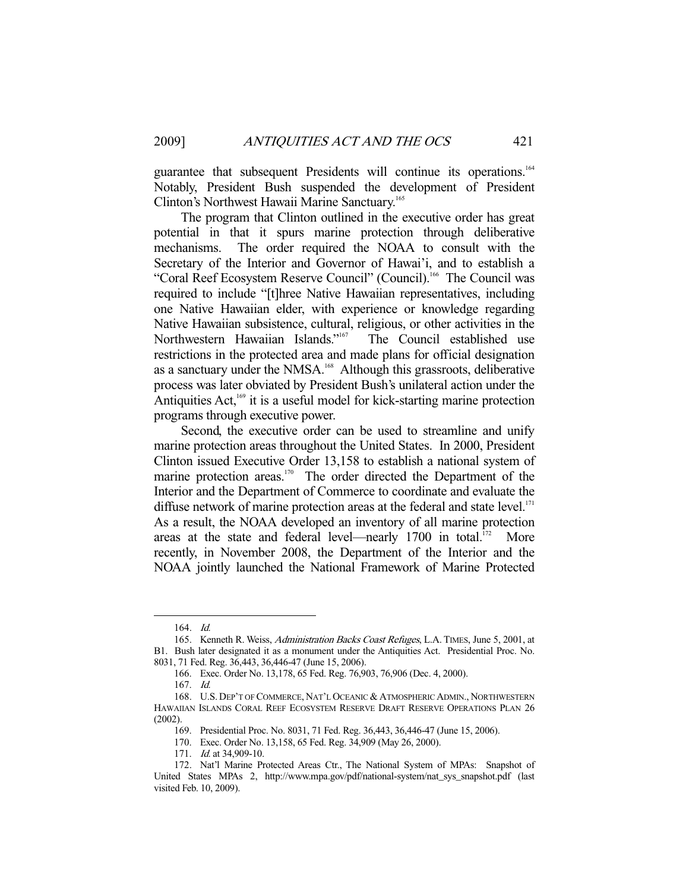guarantee that subsequent Presidents will continue its operations.<sup>164</sup> Notably, President Bush suspended the development of President Clinton's Northwest Hawaii Marine Sanctuary.<sup>165</sup>

 The program that Clinton outlined in the executive order has great potential in that it spurs marine protection through deliberative mechanisms. The order required the NOAA to consult with the Secretary of the Interior and Governor of Hawai'i, and to establish a "Coral Reef Ecosystem Reserve Council" (Council).<sup>166</sup> The Council was required to include "[t]hree Native Hawaiian representatives, including one Native Hawaiian elder, with experience or knowledge regarding Native Hawaiian subsistence, cultural, religious, or other activities in the Northwestern Hawaiian Islands."<sup>167</sup> The Council established use restrictions in the protected area and made plans for official designation as a sanctuary under the NMSA.<sup>168</sup> Although this grassroots, deliberative process was later obviated by President Bush's unilateral action under the Antiquities  $Act<sub>169</sub>$  it is a useful model for kick-starting marine protection programs through executive power.

 Second, the executive order can be used to streamline and unify marine protection areas throughout the United States. In 2000, President Clinton issued Executive Order 13,158 to establish a national system of marine protection areas.<sup>170</sup> The order directed the Department of the Interior and the Department of Commerce to coordinate and evaluate the diffuse network of marine protection areas at the federal and state level.<sup>171</sup> As a result, the NOAA developed an inventory of all marine protection areas at the state and federal level—nearly  $1700$  in total.<sup>172</sup> More recently, in November 2008, the Department of the Interior and the NOAA jointly launched the National Framework of Marine Protected

 <sup>164.</sup> Id.

<sup>165.</sup> Kenneth R. Weiss, Administration Backs Coast Refuges, L.A. TIMES, June 5, 2001, at B1. Bush later designated it as a monument under the Antiquities Act. Presidential Proc. No. 8031, 71 Fed. Reg. 36,443, 36,446-47 (June 15, 2006).

 <sup>166.</sup> Exec. Order No. 13,178, 65 Fed. Reg. 76,903, 76,906 (Dec. 4, 2000).

 <sup>167.</sup> Id.

 <sup>168.</sup> U.S. DEP'T OF COMMERCE, NAT'L OCEANIC & ATMOSPHERIC ADMIN., NORTHWESTERN HAWAIIAN ISLANDS CORAL REEF ECOSYSTEM RESERVE DRAFT RESERVE OPERATIONS PLAN 26 (2002).

 <sup>169.</sup> Presidential Proc. No. 8031, 71 Fed. Reg. 36,443, 36,446-47 (June 15, 2006).

 <sup>170.</sup> Exec. Order No. 13,158, 65 Fed. Reg. 34,909 (May 26, 2000).

<sup>171.</sup> *Id.* at 34,909-10.

 <sup>172.</sup> Nat'l Marine Protected Areas Ctr., The National System of MPAs: Snapshot of United States MPAs 2, http://www.mpa.gov/pdf/national-system/nat\_sys\_snapshot.pdf (last visited Feb. 10, 2009).